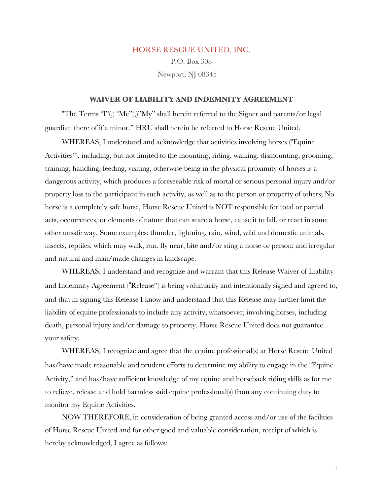# HORSE RESCUE UNITED, INC. P.O. Box 308 Newport, NJ 08345

#### **WAIVER OF LIABILITY AND INDEMNITY AGREEMENT**

"The Terms "I"(,) "Me"(,)"My" shall herein referred to the Signer and parents/or legal guardian there of if a minor." HRU shall herein be referred to Horse Rescue United.

WHEREAS, I understand and acknowledge that activities involving horses ("Equine Activities"), including, but not limited to the mounting, riding, walking, dismounting, grooming, training, handling, feeding, visiting, otherwise being in the physical proximity of horses is a dangerous activity, which produces a foreseeable risk of mortal or serious personal injury and/or property loss to the participant in such activity, as well as to the person or property of others; No horse is a completely safe horse, Horse Rescue United is NOT responsible for total or partial acts, occurrences, or elements of nature that can scare a horse, cause it to fall, or react in some other unsafe way. Some examples: thunder, lightning, rain, wind, wild and domestic animals, insects, reptiles, which may walk, run, fly near, bite and/or sting a horse or person; and irregular and natural and man/made changes in landscape.

WHEREAS, I understand and recognize and warrant that this Release Waiver of Liability and Indemnity Agreement ("Release") is being voluntarily and intentionally signed and agreed to, and that in signing this Release I know and understand that this Release may further limit the liability of equine professionals to include any activity, whatsoever, involving horses, including death, personal injury and/or damage to property. Horse Rescue United does not guarantee your safety.

WHEREAS, I recognize and agree that the equine professional(s) at Horse Rescue United has/have made reasonable and prudent efforts to determine my ability to engage in the "Equine Activity," and has/have sufficient knowledge of my equine and horseback riding skills as for me to relieve, release and hold harmless said equine professional(s) from any continuing duty to monitor my Equine Activities.

NOW THEREFORE, in consideration of being granted access and/or use of the facilities of Horse Rescue United and for other good and valuable consideration, receipt of which is hereby acknowledged, I agree as follows: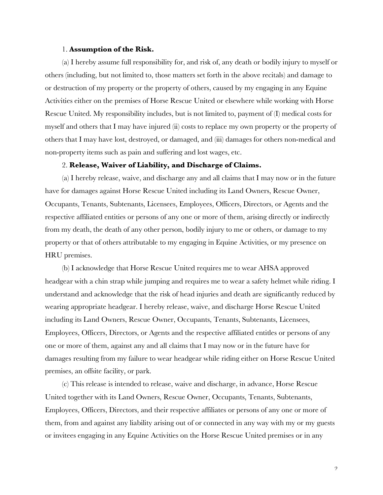#### 1. **Assumption of the Risk.**

(a) I hereby assume full responsibility for, and risk of, any death or bodily injury to myself or others (including, but not limited to, those matters set forth in the above recitals) and damage to or destruction of my property or the property of others, caused by my engaging in any Equine Activities either on the premises of Horse Rescue United or elsewhere while working with Horse Rescue United. My responsibility includes, but is not limited to, payment of (I) medical costs for myself and others that I may have injured (ii) costs to replace my own property or the property of others that I may have lost, destroyed, or damaged, and (iii) damages for others non-medical and non-property items such as pain and suffering and lost wages, etc.

#### 2. **Release, Waiver of Liability, and Discharge of Claims.**

(a) I hereby release, waive, and discharge any and all claims that I may now or in the future have for damages against Horse Rescue United including its Land Owners, Rescue Owner, Occupants, Tenants, Subtenants, Licensees, Employees, Officers, Directors, or Agents and the respective affiliated entities or persons of any one or more of them, arising directly or indirectly from my death, the death of any other person, bodily injury to me or others, or damage to my property or that of others attributable to my engaging in Equine Activities, or my presence on HRU premises.

(b) I acknowledge that Horse Rescue United requires me to wear AHSA approved headgear with a chin strap while jumping and requires me to wear a safety helmet while riding. I understand and acknowledge that the risk of head injuries and death are significantly reduced by wearing appropriate headgear. I hereby release, waive, and discharge Horse Rescue United including its Land Owners, Rescue Owner, Occupants, Tenants, Subtenants, Licensees, Employees, Officers, Directors, or Agents and the respective affiliated entitles or persons of any one or more of them, against any and all claims that I may now or in the future have for damages resulting from my failure to wear headgear while riding either on Horse Rescue United premises, an offsite facility, or park.

(c) This release is intended to release, waive and discharge, in advance, Horse Rescue United together with its Land Owners, Rescue Owner, Occupants, Tenants, Subtenants, Employees, Officers, Directors, and their respective affiliates or persons of any one or more of them, from and against any liability arising out of or connected in any way with my or my guests or invitees engaging in any Equine Activities on the Horse Rescue United premises or in any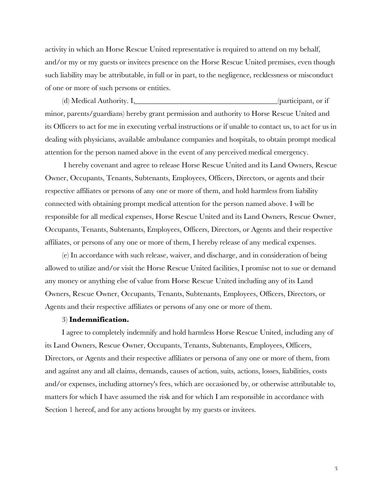activity in which an Horse Rescue United representative is required to attend on my behalf, and/or my or my guests or invitees presence on the Horse Rescue United premises, even though such liability may be attributable, in full or in part, to the negligence, recklessness or misconduct of one or more of such persons or entities.

(d) Medical Authority. I,\_\_\_\_\_\_\_\_\_\_\_\_\_\_\_\_\_\_\_\_\_\_\_\_\_\_\_\_\_\_\_\_\_\_\_\_\_\_(participant, or if minor, parents/guardians) hereby grant permission and authority to Horse Rescue United and its Officers to act for me in executing verbal instructions or if unable to contact us, to act for us in dealing with physicians, available ambulance companies and hospitals, to obtain prompt medical attention for the person named above in the event of any perceived medical emergency.

I hereby covenant and agree to release Horse Rescue United and its Land Owners, Rescue Owner, Occupants, Tenants, Subtenants, Employees, Officers, Directors, or agents and their respective affiliates or persons of any one or more of them, and hold harmless from liability connected with obtaining prompt medical attention for the person named above. I will be responsible for all medical expenses, Horse Rescue United and its Land Owners, Rescue Owner, Occupants, Tenants, Subtenants, Employees, Officers, Directors, or Agents and their respective affiliates, or persons of any one or more of them, I hereby release of any medical expenses.

(e) In accordance with such release, waiver, and discharge, and in consideration of being allowed to utilize and/or visit the Horse Rescue United facilities, I promise not to sue or demand any money or anything else of value from Horse Rescue United including any of its Land Owners, Rescue Owner, Occupants, Tenants, Subtenants, Employees, Officers, Directors, or Agents and their respective affiliates or persons of any one or more of them.

## 3) **Indemnification.**

I agree to completely indemnify and hold harmless Horse Rescue United, including any of its Land Owners, Rescue Owner, Occupants, Tenants, Subtenants, Employees, Officers, Directors, or Agents and their respective affiliates or persona of any one or more of them, from and against any and all claims, demands, causes of action, suits, actions, losses, liabilities, costs and/or expenses, including attorney's fees, which are occasioned by, or otherwise attributable to, matters for which I have assumed the risk and for which I am responsible in accordance with Section 1 hereof, and for any actions brought by my guests or invitees.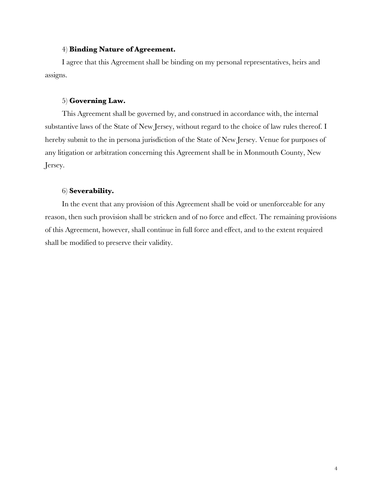#### 4) **Binding Nature of Agreement.**

I agree that this Agreement shall be binding on my personal representatives, heirs and assigns.

## 5) **Governing Law.**

This Agreement shall be governed by, and construed in accordance with, the internal substantive laws of the State of New Jersey, without regard to the choice of law rules thereof. I hereby submit to the in persona jurisdiction of the State of New Jersey. Venue for purposes of any litigation or arbitration concerning this Agreement shall be in Monmouth County, New Jersey.

## 6) **Severability.**

In the event that any provision of this Agreement shall be void or unenforceable for any reason, then such provision shall be stricken and of no force and effect. The remaining provisions of this Agreement, however, shall continue in full force and effect, and to the extent required shall be modified to preserve their validity.